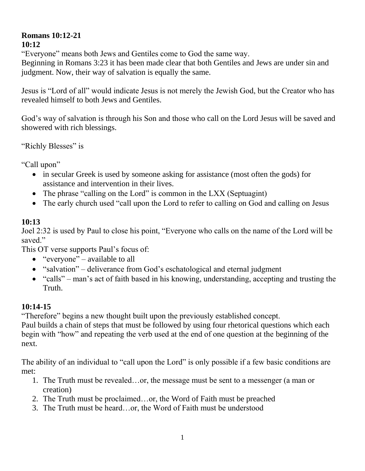## **Romans 10:12-21 10:12**

"Everyone" means both Jews and Gentiles come to God the same way.

Beginning in Romans 3:23 it has been made clear that both Gentiles and Jews are under sin and judgment. Now, their way of salvation is equally the same.

Jesus is "Lord of all" would indicate Jesus is not merely the Jewish God, but the Creator who has revealed himself to both Jews and Gentiles.

God's way of salvation is through his Son and those who call on the Lord Jesus will be saved and showered with rich blessings.

"Richly Blesses" is

"Call upon"

- in secular Greek is used by someone asking for assistance (most often the gods) for assistance and intervention in their lives.
- The phrase "calling on the Lord" is common in the LXX (Septuagint)
- The early church used "call upon the Lord to refer to calling on God and calling on Jesus

## **10:13**

Joel 2:32 is used by Paul to close his point, "Everyone who calls on the name of the Lord will be saved."

This OT verse supports Paul's focus of:

- $\bullet$  "everyone" available to all
- "salvation" deliverance from God's eschatological and eternal judgment
- "calls" man's act of faith based in his knowing, understanding, accepting and trusting the Truth.

## **10:14-15**

"Therefore" begins a new thought built upon the previously established concept.

Paul builds a chain of steps that must be followed by using four rhetorical questions which each begin with "how" and repeating the verb used at the end of one question at the beginning of the next.

The ability of an individual to "call upon the Lord" is only possible if a few basic conditions are met:

- 1. The Truth must be revealed…or, the message must be sent to a messenger (a man or creation)
- 2. The Truth must be proclaimed…or, the Word of Faith must be preached
- 3. The Truth must be heard…or, the Word of Faith must be understood